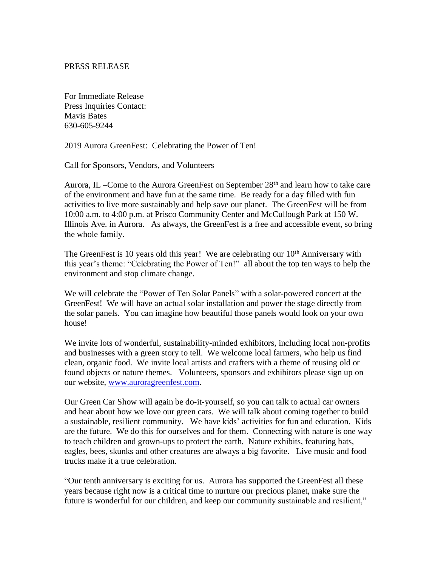## PRESS RELEASE

For Immediate Release Press Inquiries Contact: Mavis Bates 630-605-9244

2019 Aurora GreenFest: Celebrating the Power of Ten!

Call for Sponsors, Vendors, and Volunteers

Aurora, IL –Come to the Aurora GreenFest on September  $28<sup>th</sup>$  and learn how to take care of the environment and have fun at the same time. Be ready for a day filled with fun activities to live more sustainably and help save our planet. The GreenFest will be from 10:00 a.m. to 4:00 p.m. at Prisco Community Center and McCullough Park at 150 W. Illinois Ave. in Aurora. As always, the GreenFest is a free and accessible event, so bring the whole family.

The GreenFest is 10 years old this year! We are celebrating our 10<sup>th</sup> Anniversary with this year's theme: "Celebrating the Power of Ten!" all about the top ten ways to help the environment and stop climate change.

We will celebrate the "Power of Ten Solar Panels" with a solar-powered concert at the GreenFest! We will have an actual solar installation and power the stage directly from the solar panels. You can imagine how beautiful those panels would look on your own house!

We invite lots of wonderful, sustainability-minded exhibitors, including local non-profits and businesses with a green story to tell. We welcome local farmers, who help us find clean, organic food. We invite local artists and crafters with a theme of reusing old or found objects or nature themes. Volunteers, sponsors and exhibitors please sign up on our website, [www.auroragreenfest.com.](http://www.auroragreenfest.com/)

Our Green Car Show will again be do-it-yourself, so you can talk to actual car owners and hear about how we love our green cars. We will talk about coming together to build a sustainable, resilient community. We have kids' activities for fun and education. Kids are the future. We do this for ourselves and for them. Connecting with nature is one way to teach children and grown-ups to protect the earth. Nature exhibits, featuring bats, eagles, bees, skunks and other creatures are always a big favorite. Live music and food trucks make it a true celebration.

"Our tenth anniversary is exciting for us. Aurora has supported the GreenFest all these years because right now is a critical time to nurture our precious planet, make sure the future is wonderful for our children, and keep our community sustainable and resilient,"